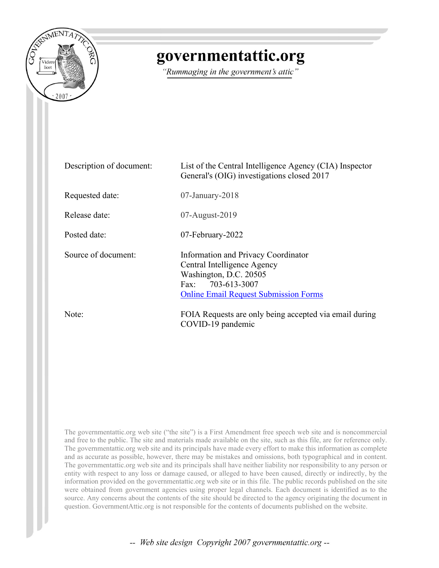

## governmentattic.org

"Rummaging in the government's attic"

| Description of document: | List of the Central Intelligence Agency (CIA) Inspector<br>General's (OIG) investigations closed 2017                                                             |
|--------------------------|-------------------------------------------------------------------------------------------------------------------------------------------------------------------|
| Requested date:          | $07$ -January-2018                                                                                                                                                |
| Release date:            | $07$ -August- $2019$                                                                                                                                              |
| Posted date:             | 07-February-2022                                                                                                                                                  |
| Source of document:      | Information and Privacy Coordinator<br>Central Intelligence Agency<br>Washington, D.C. 20505<br>Fax: 703-613-3007<br><b>Online Email Request Submission Forms</b> |
| Note:                    | FOIA Requests are only being accepted via email during<br>COVID-19 pandemic                                                                                       |

The governmentattic.org web site ("the site") is a First Amendment free speech web site and is noncommercial and free to the public. The site and materials made available on the site, such as this file, are for reference only. The governmentattic.org web site and its principals have made every effort to make this information as complete and as accurate as possible, however, there may be mistakes and omissions, both typographical and in content. The governmentattic.org web site and its principals shall have neither liability nor responsibility to any person or entity with respect to any loss or damage caused, or alleged to have been caused, directly or indirectly, by the information provided on the governmentattic.org web site or in this file. The public records published on the site were obtained from government agencies using proper legal channels. Each document is identified as to the source. Any concerns about the contents of the site should be directed to the agency originating the document in question. GovernmentAttic.org is not responsible for the contents of documents published on the website.

-- Web site design Copyright 2007 governmentattic.org --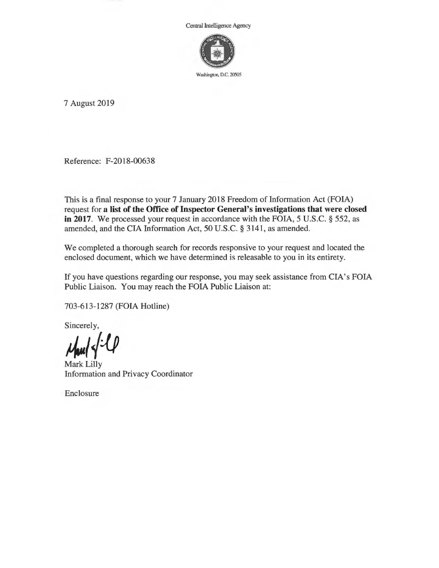Central Intelligence Agency



Washington, D.C. 20505

7 August 2019

Reference: F-2018-00638

This is a final response to your 7 January 2018 Freedom of Information Act (FOIA) request for **a list of the Office of Inspector General's investigations that were closed in 2017.** We processed your request in accordance with the FOIA, 5 U.S.C. § 552, as amended, and the CIA Information Act, 50 U.S.C. § 3141, as amended.

We completed a thorough search for records responsive to your request and located the enclosed document, which we have determined is releasable to you in its entirety.

If you have questions regarding our response, you may seek assistance from CIA's FOIA Public Liaison. You may reach the FOIA Public Liaison at:

703-613-1287 (FOIA Hotline)

Sincerely,

**4,./{-0** 

Mark Lilly Information and Privacy Coordinator

Enclosure